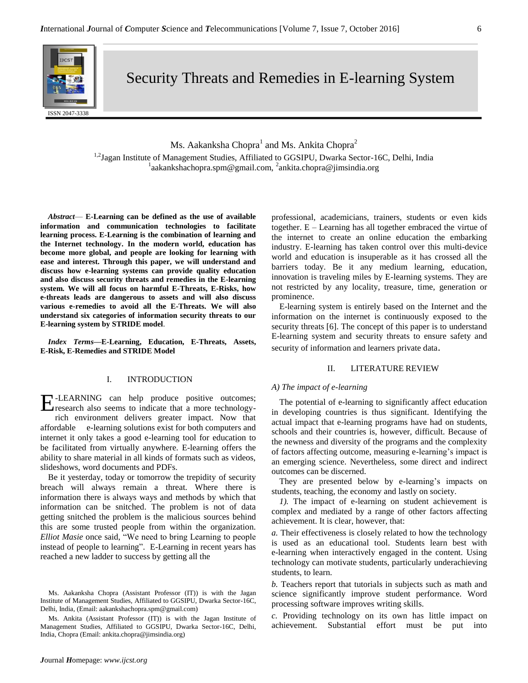

Security Threats and Remedies in E-learning System

Ms. Aakanksha Chopra $^{\rm l}$  and Ms. Ankita Chopra $^{\rm 2}$ 

<sup>1,2</sup>Jagan Institute of Management Studies, Affiliated to GGSIPU, Dwarka Sector-16C, Delhi, India <sup>1</sup>aakankshachopra.spm@gmail.com, <sup>2</sup>ankita.chopra@jimsindia.org

*Abstract*— **E-Learning can be defined as the use of available information and communication technologies to facilitate learning process. E-Learning is the combination of learning and the Internet technology. In the modern world, education has become more global, and people are looking for learning with ease and interest. Through this paper, we will understand and discuss how e-learning systems can provide quality education and also discuss security threats and remedies in the E-learning system. We will all focus on harmful E-Threats, E-Risks, how e-threats leads are dangerous to assets and will also discuss various e-remedies to avoid all the E-Threats. We will also understand six categories of information security threats to our E-learning system by STRIDE model**.

*Index Terms—***E-Learning, Education, E-Threats, Assets, E-Risk, E-Remedies and STRIDE Model**

# I. INTRODUCTION

E-LEARNING can help produce positive outcomes;<br>Fresearch also seems to indicate that a more technologyresearch also seems to indicate that a more technologyrich environment delivers greater impact. Now that affordable e-learning solutions exist for both computers and internet it only takes a good e-learning tool for education to be facilitated from virtually anywhere. E-learning offers the ability to share material in all kinds of formats such as videos, slideshows, word documents and PDFs.

Be it yesterday, today or tomorrow the trepidity of security breach will always remain a threat. Where there is information there is always ways and methods by which that information can be snitched. The problem is not of data getting snitched the problem is the malicious sources behind this are some trusted people from within the organization. *Elliot Masie* once said, "We need to bring Learning to people instead of people to learning". E-Learning in recent years has reached a new ladder to success by getting all the

Ms. Ankita (Assistant Professor (IT)) is with the Jagan Institute of Management Studies, Affiliated to GGSIPU, Dwarka Sector-16C, Delhi, India, Chopra (Email: ankita.chopra@jimsindia.org)

professional, academicians, trainers, students or even kids together. E – Learning has all together embraced the virtue of the internet to create an online education the embarking industry. E-learning has taken control over this multi-device world and education is insuperable as it has crossed all the barriers today. Be it any medium learning, education, innovation is traveling miles by E-learning systems. They are not restricted by any locality, treasure, time, generation or prominence.

E-learning system is entirely based on the Internet and the information on the internet is continuously exposed to the security threats [6]. The concept of this paper is to understand E-learning system and security threats to ensure safety and security of information and learners private data.

#### II. LITERATURE REVIEW

### *A) The impact of e-learning*

The potential of e-learning to significantly affect education in developing countries is thus significant. Identifying the actual impact that e-learning programs have had on students, schools and their countries is, however, difficult. Because of the newness and diversity of the programs and the complexity of factors affecting outcome, measuring e-learning's impact is an emerging science. Nevertheless, some direct and indirect outcomes can be discerned.

They are presented below by e-learning's impacts on students, teaching, the economy and lastly on society.

*1).* The impact of e-learning on student achievement is complex and mediated by a range of other factors affecting achievement. It is clear, however, that:

*a.* Their effectiveness is closely related to how the technology is used as an educational tool. Students learn best with e-learning when interactively engaged in the content. Using technology can motivate students, particularly underachieving students, to learn.

*b.* Teachers report that tutorials in subjects such as math and science significantly improve student performance. Word processing software improves writing skills.

*c.* Providing technology on its own has little impact on achievement. Substantial effort must be put into

Ms. Aakanksha Chopra (Assistant Professor (IT)) is with the Jagan Institute of Management Studies, Affiliated to GGSIPU, Dwarka Sector-16C, Delhi, India, (Email: aakankshachopra.spm@gmail.com)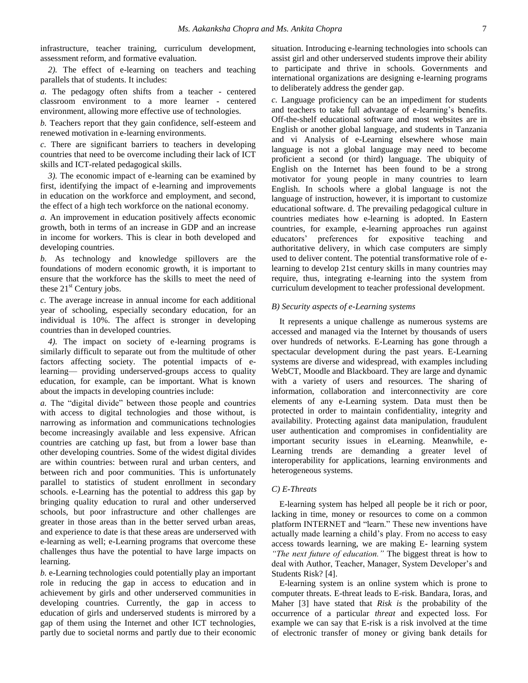infrastructure, teacher training, curriculum development, assessment reform, and formative evaluation.

*2).* The effect of e-learning on teachers and teaching parallels that of students. It includes:

*a.* The pedagogy often shifts from a teacher - centered classroom environment to a more learner - centered environment, allowing more effective use of technologies.

*b.* Teachers report that they gain confidence, self-esteem and renewed motivation in e-learning environments.

*c.* There are significant barriers to teachers in developing countries that need to be overcome including their lack of ICT skills and ICT-related pedagogical skills.

*3).* The economic impact of e-learning can be examined by first, identifying the impact of e-learning and improvements in education on the workforce and employment, and second, the effect of a high tech workforce on the national economy.

*a.* An improvement in education positively affects economic growth, both in terms of an increase in GDP and an increase in income for workers. This is clear in both developed and developing countries.

*b.* As technology and knowledge spillovers are the foundations of modern economic growth, it is important to ensure that the workforce has the skills to meet the need of these  $21<sup>st</sup>$  Century jobs.

*c.* The average increase in annual income for each additional year of schooling, especially secondary education, for an individual is 10%. The affect is stronger in developing countries than in developed countries.

*4).* The impact on society of e-learning programs is similarly difficult to separate out from the multitude of other factors affecting society. The potential impacts of elearning— providing underserved-groups access to quality education, for example, can be important. What is known about the impacts in developing countries include:

*a.* The "digital divide" between those people and countries with access to digital technologies and those without, is narrowing as information and communications technologies become increasingly available and less expensive. African countries are catching up fast, but from a lower base than other developing countries. Some of the widest digital divides are within countries: between rural and urban centers, and between rich and poor communities. This is unfortunately parallel to statistics of student enrollment in secondary schools. e-Learning has the potential to address this gap by bringing quality education to rural and other underserved schools, but poor infrastructure and other challenges are greater in those areas than in the better served urban areas, and experience to date is that these areas are underserved with e-learning as well; e-Learning programs that overcome these challenges thus have the potential to have large impacts on learning.

*b.* e-Learning technologies could potentially play an important role in reducing the gap in access to education and in achievement by girls and other underserved communities in developing countries. Currently, the gap in access to education of girls and underserved students is mirrored by a gap of them using the Internet and other ICT technologies, partly due to societal norms and partly due to their economic situation. Introducing e-learning technologies into schools can assist girl and other underserved students improve their ability to participate and thrive in schools. Governments and international organizations are designing e-learning programs to deliberately address the gender gap.

*c.* Language proficiency can be an impediment for students and teachers to take full advantage of e-learning's benefits. Off-the-shelf educational software and most websites are in English or another global language, and students in Tanzania and vi Analysis of e-Learning elsewhere whose main language is not a global language may need to become proficient a second (or third) language. The ubiquity of English on the Internet has been found to be a strong motivator for young people in many countries to learn English. In schools where a global language is not the language of instruction, however, it is important to customize educational software. d. The prevailing pedagogical culture in countries mediates how e-learning is adopted. In Eastern countries, for example, e-learning approaches run against educators' preferences for expositive teaching and authoritative delivery, in which case computers are simply used to deliver content. The potential transformative role of elearning to develop 21st century skills in many countries may require, thus, integrating e-learning into the system from curriculum development to teacher professional development.

# *B) Security aspects of e-Learning systems*

It represents a unique challenge as numerous systems are accessed and managed via the Internet by thousands of users over hundreds of networks. E-Learning has gone through a spectacular development during the past years. E-Learning systems are diverse and widespread, with examples including WebCT, Moodle and Blackboard. They are large and dynamic with a variety of users and resources. The sharing of information, collaboration and interconnectivity are core elements of any e-Learning system. Data must then be protected in order to maintain confidentiality, integrity and availability. Protecting against data manipulation, fraudulent user authentication and compromises in confidentiality are important security issues in eLearning. Meanwhile, e-Learning trends are demanding a greater level of interoperability for applications, learning environments and heterogeneous systems.

#### *C) E-Threats*

E-learning system has helped all people be it rich or poor, lacking in time, money or resources to come on a common platform INTERNET and "learn." These new inventions have actually made learning a child's play. From no access to easy access towards learning, we are making E- learning system *"The next future of education."* The biggest threat is how to deal with Author, Teacher, Manager, System Developer's and Students Risk? [4].

E-learning system is an online system which is prone to computer threats. E-threat leads to E-risk. Bandara, Ioras, and Maher [3] have stated that *Risk is* the probability of the occurrence of a particular *threat* and expected loss. For example we can say that E-risk is a risk involved at the time of electronic transfer of money or giving bank details for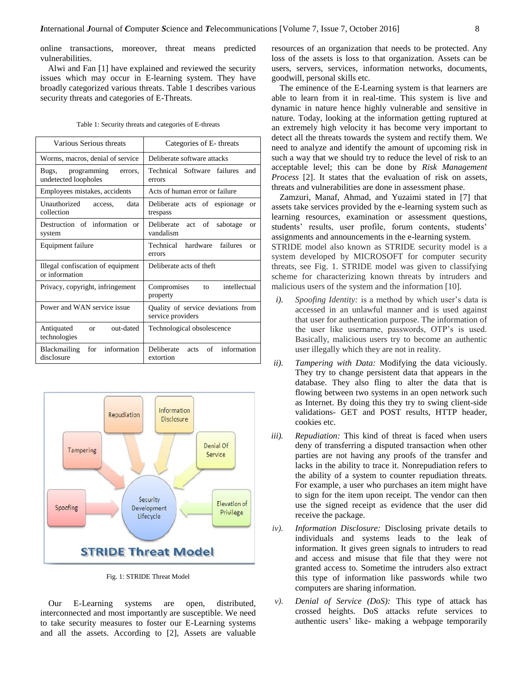online transactions, moreover, threat means predicted vulnerabilities.

Alwi and Fan [1] have explained and reviewed the security issues which may occur in E-learning system. They have broadly categorized various threats. Table 1 describes various security threats and categories of E-Threats.

|  |  | Table 1: Security threats and categories of E-threats |
|--|--|-------------------------------------------------------|
|  |  |                                                       |

| Various Serious threats                                  | Categories of E-threats                                   |  |  |
|----------------------------------------------------------|-----------------------------------------------------------|--|--|
| Worms, macros, denial of service                         | Deliberate software attacks                               |  |  |
| programming<br>Bugs,<br>errors.<br>undetected loopholes  | Technical Software<br><b>failures</b><br>and<br>errors    |  |  |
| Employees mistakes, accidents                            | Acts of human error or failure                            |  |  |
| Unauthorized<br>data<br>access.<br>collection            | Deliberate acts of espionage<br>$\alpha$<br>trespass      |  |  |
| Destruction of information<br>$\alpha$ r<br>system       | Deliberate<br>act of<br>sabotage<br>$\alpha$<br>vandalism |  |  |
| Equipment failure                                        | Technical<br>hardware<br>failures<br>$\alpha$<br>errors   |  |  |
| Illegal confiscation of equipment<br>or information      | Deliberate acts of theft                                  |  |  |
| Privacy, copyright, infringement                         | intellectual<br>Compromises<br>to<br>property             |  |  |
| Power and WAN service issue                              | Quality of service deviations from<br>service providers   |  |  |
| Antiquated<br>out-dated<br><sub>or</sub><br>technologies | Technological obsolescence                                |  |  |
| information<br>for<br><b>Blackmailing</b><br>disclosure  | of<br>information<br>Deliberate<br>acts<br>extortion      |  |  |



Fig. 1: STRIDE Threat Model

Our E-Learning systems are open, distributed, interconnected and most importantly are susceptible. We need to take security measures to foster our E-Learning systems and all the assets. According to [2], Assets are valuable

resources of an organization that needs to be protected. Any loss of the assets is loss to that organization. Assets can be users, servers, services, information networks, documents, goodwill, personal skills etc.

The eminence of the E-Learning system is that learners are able to learn from it in real-time. This system is live and dynamic in nature hence highly vulnerable and sensitive in nature. Today, looking at the information getting ruptured at an extremely high velocity it has become very important to detect all the threats towards the system and rectify them. We need to analyze and identify the amount of upcoming risk in such a way that we should try to reduce the level of risk to an acceptable level; this can be done by *Risk Management Process* [2]. It states that the evaluation of risk on assets, threats and vulnerabilities are done in assessment phase.

Zamzuri, Manaf, Ahmad, and Yuzaimi stated in [7] that assets take services provided by the e-learning system such as learning resources, examination or assessment questions, students' results, user profile, forum contents, students' assignments and announcements in the e-learning system. STRIDE model also known as STRIDE security model is a system developed by MICROSOFT for computer security

threats, see Fig. 1. STRIDE model was given to classifying scheme for characterizing known threats by intruders and malicious users of the system and the information [10].

- *i). Spoofing Identity:* is a method by which user's data is accessed in an unlawful manner and is used against that user for authentication purpose. The information of the user like username, passwords, OTP's is used. Basically, malicious users try to become an authentic user illegally which they are not in reality.
- *ii). Tampering with Data:* Modifying the data viciously. They try to change persistent data that appears in the database. They also fling to alter the data that is flowing between two systems in an open network such as Internet. By doing this they try to swing client-side validations- GET and POST results, HTTP header, cookies etc.
- *iii). Repudiation:* This kind of threat is faced when users deny of transferring a disputed transaction when other parties are not having any proofs of the transfer and lacks in the ability to trace it. Nonrepudiation refers to the ability of a system to counter repudiation threats. For example, a user who purchases an item might have to sign for the item upon receipt. The vendor can then use the signed receipt as evidence that the user did receive the package.
- *iv). Information Disclosure:* Disclosing private details to individuals and systems leads to the leak of information. It gives green signals to intruders to read and access and misuse that file that they were not granted access to. Sometime the intruders also extract this type of information like passwords while two computers are sharing information.
- *v). Denial of Service (DoS):* This type of attack has crossed heights. DoS attacks refute services to authentic users' like- making a webpage temporarily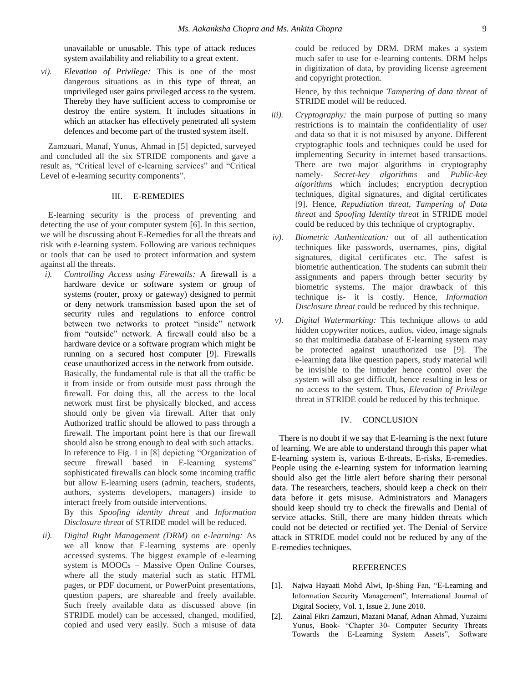unavailable or unusable. This type of attack reduces system availability and reliability to a great extent.

*vi). Elevation of Privilege:* This is one of the most dangerous situations as in this type of threat, an unprivileged user gains privileged access to the system. Thereby they have sufficient access to compromise or destroy the entire system. It includes situations in which an attacker has effectively penetrated all system defences and become part of the trusted system itself.

Zamzuari, Manaf, Yunus, Ahmad in [5] depicted, surveyed and concluded all the six STRIDE components and gave a result as, "Critical level of e-learning services" and "Critical Level of e-learning security components".

## III. E-REMEDIES

E-learning security is the process of preventing and detecting the use of your computer system [6]. In this section, we will be discussing about E-Remedies for all the threats and risk with e-learning system. Following are various techniques or tools that can be used to protect information and system against all the threats.

*i). Controlling Access using Firewalls:* A firewall is a hardware device or software system or group of systems (router, proxy or gateway) designed to permit or deny network transmission based upon the set of security rules and regulations to enforce control between two networks to protect "inside" network from "outside" network. A firewall could also be a hardware device or a software program which might be running on a secured host computer [9]. Firewalls cease unauthorized access in the network from outside. Basically, the fundamental rule is that all the traffic be it from inside or from outside must pass through the firewall. For doing this, all the access to the local network must first be physically blocked, and access should only be given via firewall. After that only Authorized traffic should be allowed to pass through a firewall. The important point here is that our firewall should also be strong enough to deal with such attacks. In reference to Fig. 1 in [8] depicting "Organization of secure firewall based in E-learning systems" sophisticated firewalls can block some incoming traffic but allow E-learning users (admin, teachers, students, authors, systems developers, managers) inside to interact freely from outside interventions. By this *Spoofing identity threat* and *Information* 

*Disclosure threat* of STRIDE model will be reduced.

*ii). Digital Right Management (DRM) on e-learning:* As we all know that E-learning systems are openly accessed systems. The biggest example of e-learning system is MOOCs – Massive Open Online Courses, where all the study material such as static HTML pages, or PDF document, or PowerPoint presentations, question papers, are shareable and freely available. Such freely available data as discussed above (in STRIDE model) can be accessed, changed, modified, copied and used very easily. Such a misuse of data

could be reduced by DRM. DRM makes a system much safer to use for e-learning contents. DRM helps in digitization of data, by providing license agreement and copyright protection.

Hence, by this technique *Tampering of data threat* of STRIDE model will be reduced.

- *iii). Cryptography:* the main purpose of putting so many restrictions is to maintain the confidentiality of user and data so that it is not misused by anyone. Different cryptographic tools and techniques could be used for implementing Security in internet based transactions. There are two major algorithms in cryptography namely- *Secret-key algorithms* and *Public-key algorithms* which includes; encryption decryption techniques, digital signatures, and digital certificates [9]. Hence, *Repudiation threat, Tampering of Data threat* and *Spoofing Identity threat* in STRIDE model could be reduced by this technique of cryptography.
- *iv). Biometric Authentication:* out of all authentication techniques like passwords, usernames, pins, digital signatures, digital certificates etc. The safest is biometric authentication. The students can submit their assignments and papers through better security by biometric systems. The major drawback of this technique is- it is costly. Hence, *Information Disclosure threat* could be reduced by this technique.
- *v). Digital Watermarking:* This technique allows to add hidden copywriter notices, audios, video, image signals so that multimedia database of E-learning system may be protected against unauthorized use [9]. The e-learning data like question papers, study material will be invisible to the intruder hence control over the system will also get difficult, hence resulting in less or no access to the system. Thus, *Elevation of Privilege* threat in STRIDE could be reduced by this technique.

## IV. CONCLUSION

There is no doubt if we say that E-learning is the next future of learning. We are able to understand through this paper what E-learning system is, various E-threats, E-risks, E-remedies. People using the e-learning system for information learning should also get the little alert before sharing their personal data. The researchers, teachers, should keep a check on their data before it gets misuse. Administrators and Managers should keep should try to check the firewalls and Denial of service attacks. Still, there are many hidden threats which could not be detected or rectified yet. The Denial of Service attack in STRIDE model could not be reduced by any of the E-remedies techniques.

### REFERENCES

- [1]. Najwa Hayaati Mohd Alwi, Ip-Shing Fan, "E-Learning and Information Security Management", International Journal of Digital Society, Vol. 1, Issue 2, June 2010.
- [2]. Zainal Fikri Zamzuri, Mazani Manaf, Adnan Ahmad, Yuzaimi Yunus, Book- "Chapter 30- Computer Security Threats Towards the E-Learning System Assets", Software